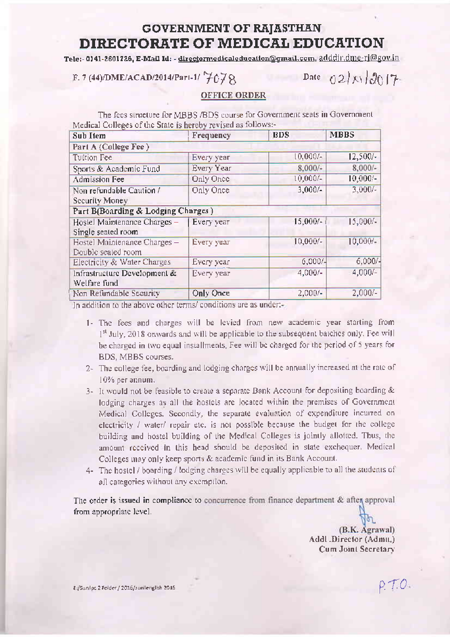## **GOVERNMENT OF RAJASTHAN** DIRECTORATE OF MEDICAL EDUCATION

Tele:- 0)41-2601726, E-Mail Id: - directormedicaleducation@gmail.com, adddir.dme-ri@gov.in

F. 7 (44)/DME/ACAD/2014/Part-1/  $7078$ 

Date  $(2)$  X  $3017$ 

## **OFFICE ORDER**

The fees structure for MBBS/BDS course for Government seats in Government Medical Colleges of the State is hereby revised as follows:-

| <b>Sub Item</b>                    | Frequency  | <b>BDS</b> | <b>MBBS</b> |
|------------------------------------|------------|------------|-------------|
| Part A (College Fee)               |            |            |             |
| Tuition Fee                        | Every year | $10,000/-$ | $12,500/-$  |
| Sports & Academic Fund             | Every Year | $8,000/-$  | $8,000/-$   |
| <b>Admission Fee</b>               | Only Once  | $10,000/-$ | $10,000/-$  |
| Non refundable Caution /           | Only Once  | $3,000/-$  | $3,000/-$   |
| Security Money                     |            |            |             |
| Part B(Boarding & Lodging Charges) |            |            |             |
| Hostel Maintenance Charges -       | Every year | $15,000/-$ | $15,000/-$  |
| Single seated room                 |            |            |             |
| Hostel Maintenance Charges -       | Every year | $10,000/-$ | 10,000/     |
| Double sealed room                 |            |            |             |
| Electricity & Water Charges        | Every year | $6,000/-$  | $6,000/-$   |
| Infrastructure Development &       | Every year | $4,000/-$  | $4,000/-$   |
| Welfare fund                       |            |            |             |
| Non Refundable Security            | Only Once  | $2,000/-$  | $2,000/-$   |

In addition to the above other terms/ conditions are as under:-

- 1- The fees and charges will be levied from new academic year starting from 1<sup>st</sup> July, 2018 onwards and will be applicable to the subsequent batches only. Fee will be charged in two equal installments. Fee will be charged for the period of 5 years for BDS, MBBS courses.
- 2- The college fee, boarding and lodging charges will be annually increased at the rate of 10% per annum.
- 3- It would not be feasible to create a separate Bank Account for depositing boarding & lodging charges as all the hostels are located within the premises of Government Medical Colleges, Secondly, the separate evaluation of expenditure incurred on electricity / water/ repair etc. is not possible because the budget for the college building and hostel building of the Medical Colleges is jointly allotted. Thus, the amount received in this head should be deposited in state exchequer. Medical Colleges may only keep sports & academic fund in its Bank Account.
- 4- The hostel / boarding / lodging charges will be equally applicable to all the students of all categories without any exemption.

The order is issued in compliance to concurrence from finance department & after approval from appropriate level.

> (B.K. Agrawal) Addl .Director (Admu.) Cum Joint Secretary

> > $P.70$